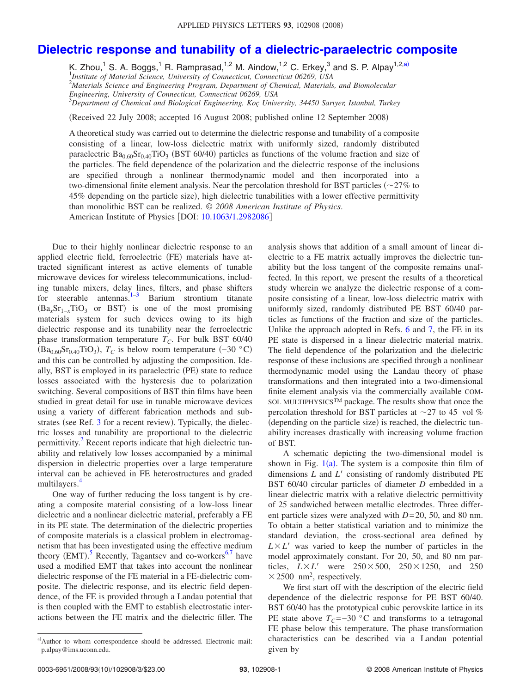## **[Dielectric response and tunability of a dielectric-paraelectric composite](http://dx.doi.org/10.1063/1.2982086)**

K. Zhou,<sup>1</sup> S. A. Boggs,<sup>1</sup> R. Ramprasad,<sup>1,2</sup> M. Aindow,<sup>1,2</sup> C. Erkey,<sup>3</sup> and S. P. Alpay<sup>1,2[,a](#page-0-0))</sup> 1 *Institute of Material Science, University of Connecticut, Connecticut 06269, USA* 2 *Materials Science and Engineering Program, Department of Chemical, Materials, and Biomolecular Engineering, University of Connecticut, Connecticut 06269, USA*

3 *Department of Chemical and Biological Engineering, Koç University, 34450 Sarıyer, Istanbul, Turkey*

Received 22 July 2008; accepted 16 August 2008; published online 12 September 2008-

A theoretical study was carried out to determine the dielectric response and tunability of a composite consisting of a linear, low-loss dielectric matrix with uniformly sized, randomly distributed paraelectric  $Ba_{0.60}Sr_{0.40}TiO_3$  (BST 60/40) particles as functions of the volume fraction and size of the particles. The field dependence of the polarization and the dielectric response of the inclusions are specified through a nonlinear thermodynamic model and then incorporated into a two-dimensional finite element analysis. Near the percolation threshold for BST particles  $\left(\sim\!27\%$  to 45% depending on the particle size), high dielectric tunabilities with a lower effective permittivity than monolithic BST can be realized. © *2008 American Institute of Physics*. American Institute of Physics [DOI: [10.1063/1.2982086](http://dx.doi.org/10.1063/1.2982086)]

Due to their highly nonlinear dielectric response to an applied electric field, ferroelectric (FE) materials have attracted significant interest as active elements of tunable microwave devices for wireless telecommunications, including tunable mixers, delay lines, filters, and phase shifters for steerable antennas. $1-3$  $1-3$  Barium strontium titanate  $(Ba_x Sr_{1-x} TiO_3$  or BST) is one of the most promising materials system for such devices owing to its high dielectric response and its tunability near the ferroelectric phase transformation temperature  $T_C$ . For bulk BST 60/40  $(Ba_{0.60}Sr_{0.40}TiO_3)$ ,  $T_C$  is below room temperature  $(-30 \degree C)$ and this can be controlled by adjusting the composition. Ideally, BST is employed in its paraelectric (PE) state to reduce losses associated with the hysteresis due to polarization switching. Several compositions of BST thin films have been studied in great detail for use in tunable microwave devices using a variety of different fabrication methods and sub-strates (see Ref. [3](#page-2-1) for a recent review). Typically, the dielectric losses and tunability are proportional to the dielectric permittivity.<sup>2</sup> Recent reports indicate that high dielectric tunability and relatively low losses accompanied by a minimal dispersion in dielectric properties over a large temperature interval can be achieved in FE heterostructures and graded multilayers.

One way of further reducing the loss tangent is by creating a composite material consisting of a low-loss linear dielectric and a nonlinear dielectric material, preferably a FE in its PE state. The determination of the dielectric properties of composite materials is a classical problem in electromagnetism that has been investigated using the effective medium theory (EMT).<sup>[5](#page-2-4)</sup> Recently, Tagantsev and co-workers<sup>6[,7](#page-2-6)</sup> have used a modified EMT that takes into account the nonlinear dielectric response of the FE material in a FE-dielectric composite. The dielectric response, and its electric field dependence, of the FE is provided through a Landau potential that is then coupled with the EMT to establish electrostatic interactions between the FE matrix and the dielectric filler. The

analysis shows that addition of a small amount of linear dielectric to a FE matrix actually improves the dielectric tunability but the loss tangent of the composite remains unaffected. In this report, we present the results of a theoretical study wherein we analyze the dielectric response of a composite consisting of a linear, low-loss dielectric matrix with uniformly sized, randomly distributed PE BST 60/40 particles as functions of the fraction and size of the particles. Unlike the approach adopted in Refs. [6](#page-2-5) and [7,](#page-2-6) the FE in its PE state is dispersed in a linear dielectric material matrix. The field dependence of the polarization and the dielectric response of these inclusions are specified through a nonlinear thermodynamic model using the Landau theory of phase transformations and then integrated into a two-dimensional finite element analysis via the commercially available COM-SOL MULTIPHYSICS™ package. The results show that once the percolation threshold for BST particles at  $\sim$  27 to 45 vol  $\%$ (depending on the particle size) is reached, the dielectric tunability increases drastically with increasing volume fraction of BST.

A schematic depicting the two-dimensional model is shown in Fig.  $1(a)$  $1(a)$ . The system is a composite thin film of dimensions *L* and *L'* consisting of randomly distributed PE BST 60/40 circular particles of diameter *D* embedded in a linear dielectric matrix with a relative dielectric permittivity of 25 sandwiched between metallic electrodes. Three different particle sizes were analyzed with *D*= 20, 50, and 80 nm. To obtain a better statistical variation and to minimize the standard deviation, the cross-sectional area defined by  $L \times L'$  was varied to keep the number of particles in the model approximately constant. For 20, 50, and 80 nm particles,  $L \times L'$  were  $250 \times 500$ ,  $250 \times 1250$ , and 250  $\times$  2500 nm<sup>2</sup>, respectively.

We first start off with the description of the electric field dependence of the dielectric response for PE BST 60/40. BST 60/40 has the prototypical cubic perovskite lattice in its PE state above  $T_C = -30$  °C and transforms to a tetragonal FE phase below this temperature. The phase transformation characteristics can be described via a Landau potential given by

<span id="page-0-0"></span>a)Author to whom correspondence should be addressed. Electronic mail: p.alpay@ims.uconn.edu.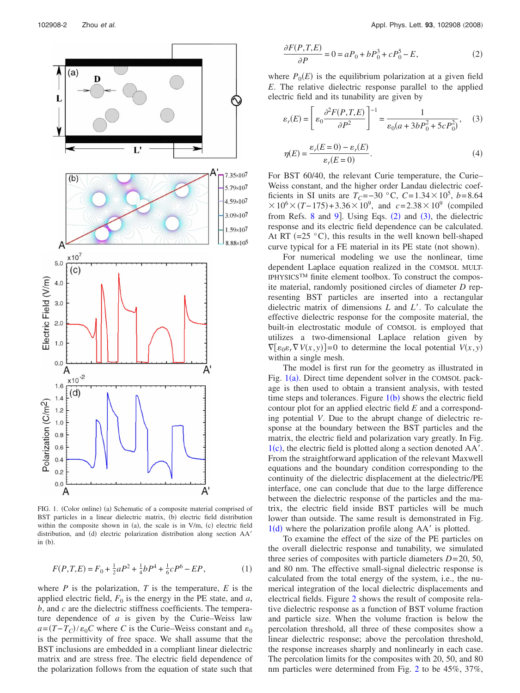<span id="page-1-0"></span>

FIG. 1. (Color online) (a) Schematic of a composite material comprised of BST particles in a linear dielectric matrix, (b) electric field distribution within the composite shown in (a), the scale is in  $V/m$ , (c) electric field distribution, and (d) electric polarization distribution along section AA' in  $(b)$ .

$$
F(P,T,E) = F_0 + \frac{1}{2}aP^2 + \frac{1}{4}bP^4 + \frac{1}{6}cP^6 - EP,
$$
 (1)

where  $P$  is the polarization,  $T$  is the temperature,  $E$  is the applied electric field,  $F_0$  is the energy in the PE state, and *a*, *b*, and *c* are the dielectric stiffness coefficients. The temperature dependence of *a* is given by the Curie–Weiss law  $a = (T - T_C)/\varepsilon_0 C$  where *C* is the Curie–Weiss constant and  $\varepsilon_0$ is the permittivity of free space. We shall assume that the BST inclusions are embedded in a compliant linear dielectric matrix and are stress free. The electric field dependence of the polarization follows from the equation of state such that

<span id="page-1-1"></span>
$$
\frac{\partial F(P,T,E)}{\partial P} = 0 = aP_0 + bP_0^3 + cP_0^5 - E,\tag{2}
$$

<span id="page-1-2"></span>where  $P_0(E)$  is the equilibrium polarization at a given field *E*. The relative dielectric response parallel to the applied electric field and its tunability are given by

$$
\varepsilon_r(E) = \left[ \varepsilon_0 \frac{\partial^2 F(P, T, E)}{\partial P^2} \right]^{-1} = \frac{1}{\varepsilon_0(a + 3bP_0^2 + 5cP_0^2)},\tag{3}
$$

$$
\eta(E) = \frac{\varepsilon_r(E=0) - \varepsilon_r(E)}{\varepsilon_r(E=0)}.\tag{4}
$$

For BST 60/40, the relevant Curie temperature, the Curie– Weiss constant, and the higher order Landau dielectric coefficients in SI units are  $T_c = -30$  °C,  $C = 1.34 \times 10^5$ ,  $b = 8.64$  $\times 10^6 \times (T - 175) + 3.36 \times 10^9$ , and *c*=2.38×10<sup>9</sup> (compiled from Refs.  $8$  and  $9$ ]. Using Eqs.  $(2)$  $(2)$  $(2)$  and  $(3)$  $(3)$  $(3)$ , the dielectric response and its electric field dependence can be calculated. At RT  $(=25 \degree C)$ , this results in the well known bell-shaped curve typical for a FE material in its PE state (not shown).

For numerical modeling we use the nonlinear, time dependent Laplace equation realized in the COMSOL MULT-IPHYSICS™ finite element toolbox. To construct the composite material, randomly positioned circles of diameter *D* representing BST particles are inserted into a rectangular dielectric matrix of dimensions *L* and *L*. To calculate the effective dielectric response for the composite material, the built-in electrostatic module of COMSOL is employed that utilizes a two-dimensional Laplace relation given by  $\nabla$ *[* $\varepsilon_0 \varepsilon_r \nabla V(x, y)$ ]=0 to determine the local potential  $V(x, y)$ within a single mesh.

The model is first run for the geometry as illustrated in Fig.  $1(a)$  $1(a)$ . Direct time dependent solver in the COMSOL package is then used to obtain a transient analysis, with tested time steps and tolerances. Figure  $1(b)$  $1(b)$  shows the electric field contour plot for an applied electric field *E* and a corresponding potential *V*. Due to the abrupt change of dielectric response at the boundary between the BST particles and the matrix, the electric field and polarization vary greatly. In Fig.  $1(c)$  $1(c)$ , the electric field is plotted along a section denoted AA'. From the straightforward application of the relevant Maxwell equations and the boundary condition corresponding to the continuity of the dielectric displacement at the dielectric/PE interface, one can conclude that due to the large difference between the dielectric response of the particles and the matrix, the electric field inside BST particles will be much lower than outside. The same result is demonstrated in Fig.  $1(d)$  $1(d)$  where the polarization profile along AA' is plotted.

To examine the effect of the size of the PE particles on the overall dielectric response and tunability, we simulated three series of composites with particle diameters *D*= 20, 50, and 80 nm. The effective small-signal dielectric response is calculated from the total energy of the system, i.e., the numerical integration of the local dielectric displacements and electrical fields. Figure [2](#page-2-9) shows the result of composite relative dielectric response as a function of BST volume fraction and particle size. When the volume fraction is below the percolation threshold, all three of these composites show a linear dielectric response; above the percolation threshold, the response increases sharply and nonlinearly in each case. The percolation limits for the composites with 20, 50, and 80 nm particles were determined from Fig. [2](#page-2-9) to be 45%, 37%,